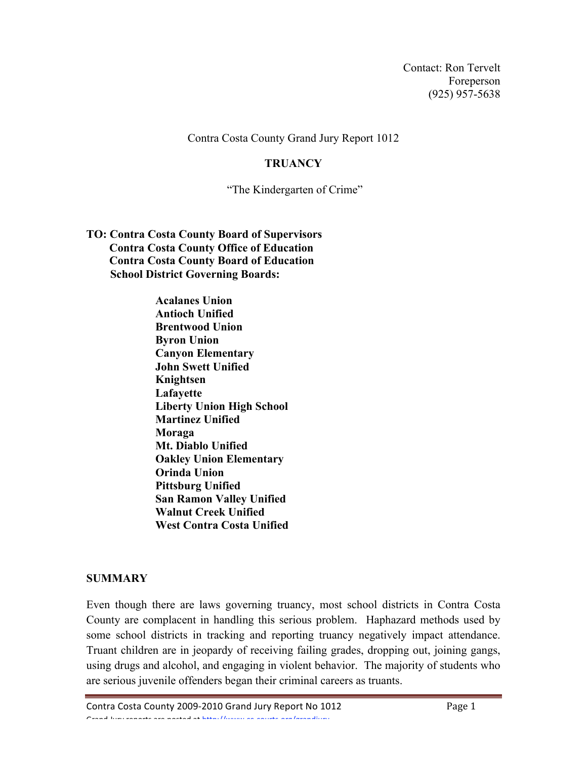Contact: Ron Tervelt Foreperson (925) 957-5638

Contra Costa County Grand Jury Report 1012

#### **TRUANCY**

"The Kindergarten of Crime"

- **TO: Contra Costa County Board of Supervisors Contra Costa County Office of Education Contra Costa County Board of Education School District Governing Boards:**
	- **Acalanes Union Antioch Unified Brentwood Union Byron Union Canyon Elementary John Swett Unified Knightsen Lafayette Liberty Union High School Martinez Unified Moraga Mt. Diablo Unified Oakley Union Elementary Orinda Union Pittsburg Unified San Ramon Valley Unified Walnut Creek Unified West Contra Costa Unified**

## **SUMMARY**

Even though there are laws governing truancy, most school districts in Contra Costa County are complacent in handling this serious problem. Haphazard methods used by some school districts in tracking and reporting truancy negatively impact attendance. Truant children are in jeopardy of receiving failing grades, dropping out, joining gangs, using drugs and alcohol, and engaging in violent behavior. The majority of students who are serious juvenile offenders began their criminal careers as truants.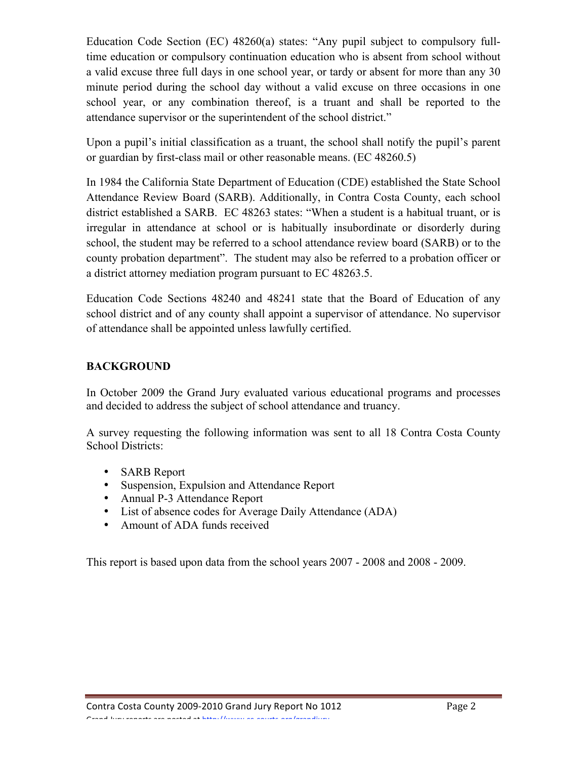Education Code Section (EC) 48260(a) states: "Any pupil subject to compulsory fulltime education or compulsory continuation education who is absent from school without a valid excuse three full days in one school year, or tardy or absent for more than any 30 minute period during the school day without a valid excuse on three occasions in one school year, or any combination thereof, is a truant and shall be reported to the attendance supervisor or the superintendent of the school district."

Upon a pupil's initial classification as a truant, the school shall notify the pupil's parent or guardian by first-class mail or other reasonable means. (EC 48260.5)

In 1984 the California State Department of Education (CDE) established the State School Attendance Review Board (SARB). Additionally, in Contra Costa County, each school district established a SARB. EC 48263 states: "When a student is a habitual truant, or is irregular in attendance at school or is habitually insubordinate or disorderly during school, the student may be referred to a school attendance review board (SARB) or to the county probation department". The student may also be referred to a probation officer or a district attorney mediation program pursuant to EC 48263.5.

Education Code Sections 48240 and 48241 state that the Board of Education of any school district and of any county shall appoint a supervisor of attendance. No supervisor of attendance shall be appointed unless lawfully certified.

# **BACKGROUND**

In October 2009 the Grand Jury evaluated various educational programs and processes and decided to address the subject of school attendance and truancy.

A survey requesting the following information was sent to all 18 Contra Costa County School Districts:

- SARB Report
- Suspension, Expulsion and Attendance Report
- Annual P-3 Attendance Report
- List of absence codes for Average Daily Attendance (ADA)
- Amount of ADA funds received

This report is based upon data from the school years 2007 - 2008 and 2008 - 2009.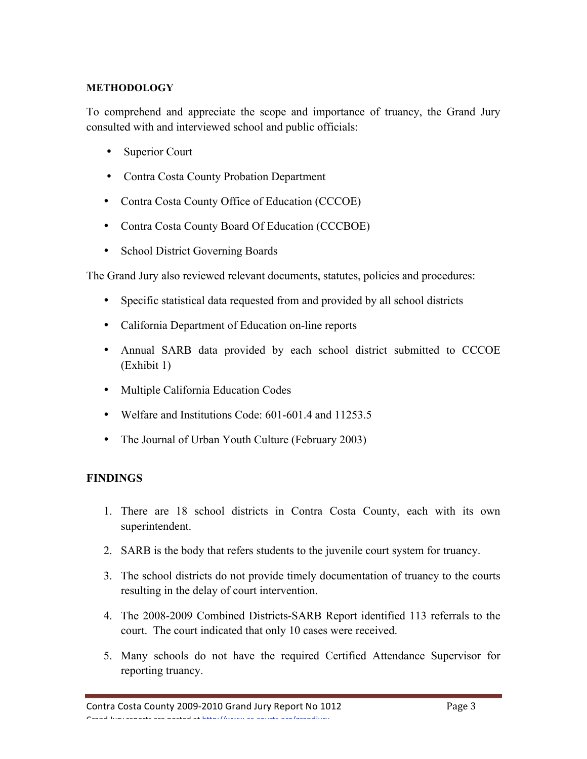## **METHODOLOGY**

To comprehend and appreciate the scope and importance of truancy, the Grand Jury consulted with and interviewed school and public officials:

- Superior Court
- Contra Costa County Probation Department
- Contra Costa County Office of Education (CCCOE)
- Contra Costa County Board Of Education (CCCBOE)
- School District Governing Boards

The Grand Jury also reviewed relevant documents, statutes, policies and procedures:

- Specific statistical data requested from and provided by all school districts
- California Department of Education on-line reports
- Annual SARB data provided by each school district submitted to CCCOE (Exhibit 1)
- Multiple California Education Codes
- Welfare and Institutions Code: 601-601.4 and 11253.5
- The Journal of Urban Youth Culture (February 2003)

## **FINDINGS**

- 1. There are 18 school districts in Contra Costa County, each with its own superintendent.
- 2. SARB is the body that refers students to the juvenile court system for truancy.
- 3. The school districts do not provide timely documentation of truancy to the courts resulting in the delay of court intervention.
- 4. The 2008-2009 Combined Districts-SARB Report identified 113 referrals to the court. The court indicated that only 10 cases were received.
- 5. Many schools do not have the required Certified Attendance Supervisor for reporting truancy.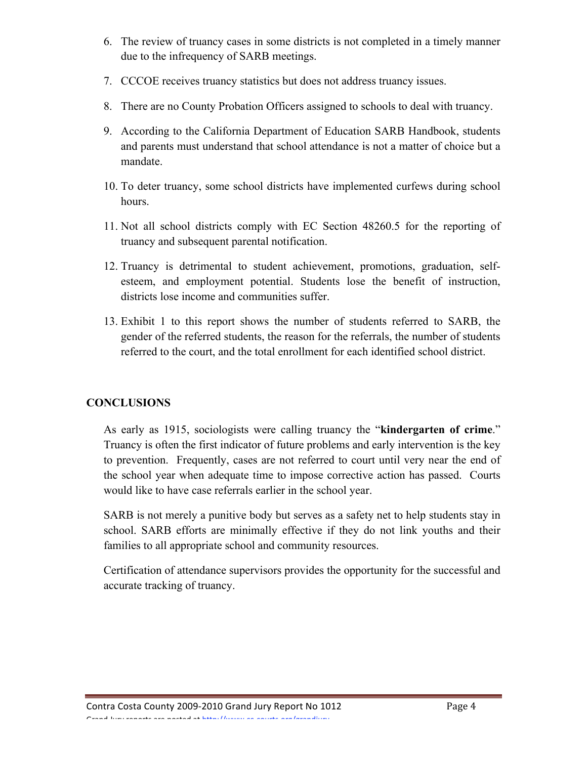- 6. The review of truancy cases in some districts is not completed in a timely manner due to the infrequency of SARB meetings.
- 7. CCCOE receives truancy statistics but does not address truancy issues.
- 8. There are no County Probation Officers assigned to schools to deal with truancy.
- 9. According to the California Department of Education SARB Handbook, students and parents must understand that school attendance is not a matter of choice but a mandate.
- 10. To deter truancy, some school districts have implemented curfews during school hours.
- 11. Not all school districts comply with EC Section 48260.5 for the reporting of truancy and subsequent parental notification.
- 12. Truancy is detrimental to student achievement, promotions, graduation, selfesteem, and employment potential. Students lose the benefit of instruction, districts lose income and communities suffer.
- 13. Exhibit 1 to this report shows the number of students referred to SARB, the gender of the referred students, the reason for the referrals, the number of students referred to the court, and the total enrollment for each identified school district.

# **CONCLUSIONS**

As early as 1915, sociologists were calling truancy the "**kindergarten of crime**." Truancy is often the first indicator of future problems and early intervention is the key to prevention. Frequently, cases are not referred to court until very near the end of the school year when adequate time to impose corrective action has passed. Courts would like to have case referrals earlier in the school year.

SARB is not merely a punitive body but serves as a safety net to help students stay in school. SARB efforts are minimally effective if they do not link youths and their families to all appropriate school and community resources.

Certification of attendance supervisors provides the opportunity for the successful and accurate tracking of truancy.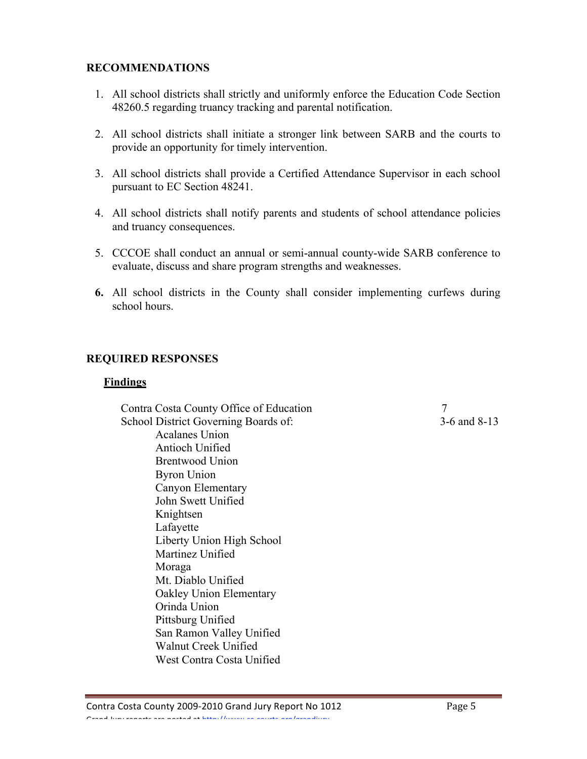## **RECOMMENDATIONS**

- 1. All school districts shall strictly and uniformly enforce the Education Code Section 48260.5 regarding truancy tracking and parental notification.
- 2. All school districts shall initiate a stronger link between SARB and the courts to provide an opportunity for timely intervention.
- 3. All school districts shall provide a Certified Attendance Supervisor in each school pursuant to EC Section 48241.
- 4. All school districts shall notify parents and students of school attendance policies and truancy consequences.
- 5. CCCOE shall conduct an annual or semi-annual county-wide SARB conference to evaluate, discuss and share program strengths and weaknesses.
- **6.** All school districts in the County shall consider implementing curfews during school hours.

## **REQUIRED RESPONSES**

#### **Findings**

 Contra Costa County Office of Education 7 School District Governing Boards of: 3-6 and 8-13 Acalanes Union Antioch Unified Brentwood Union Byron Union Canyon Elementary John Swett Unified Knightsen Lafayette Liberty Union High School Martinez Unified Moraga Mt. Diablo Unified Oakley Union Elementary Orinda Union Pittsburg Unified San Ramon Valley Unified Walnut Creek Unified West Contra Costa Unified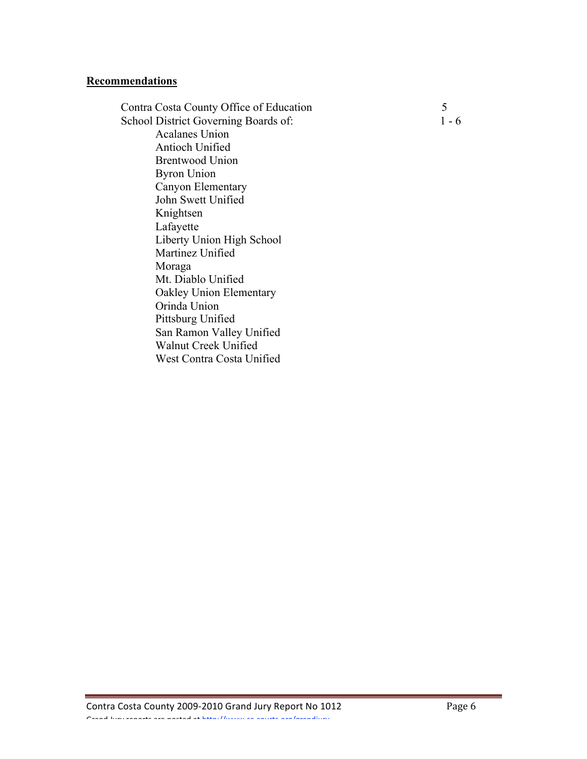#### **Recommendations**

Contra Costa County Office of Education 5 School District Governing Boards of: 1 - 6 Acalanes Union Antioch Unified Brentwood Union Byron Union Canyon Elementary John Swett Unified Knightsen Lafayette Liberty Union High School Martinez Unified Moraga Mt. Diablo Unified Oakley Union Elementary Orinda Union Pittsburg Unified San Ramon Valley Unified Walnut Creek Unified West Contra Costa Unified